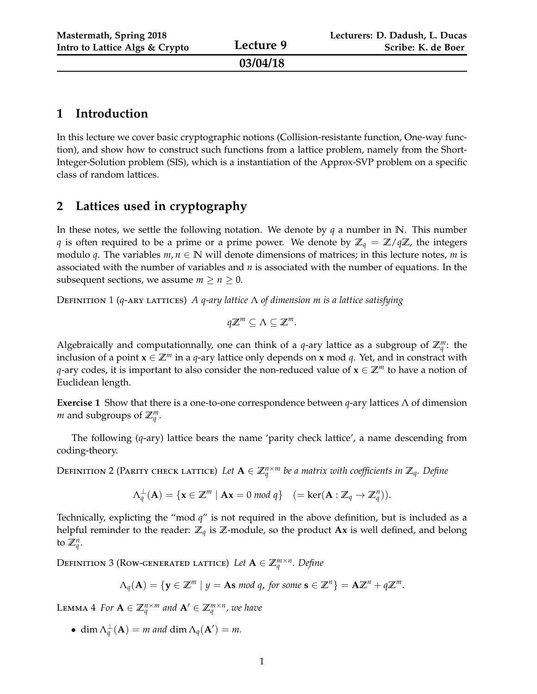| Mastermath, Spring 2018<br>Intro to Lattice Algs & Crypto | Lecture 9 | Lecturers: D. Dadush, L. Ducas<br>Scribe: K. de Boer |
|-----------------------------------------------------------|-----------|------------------------------------------------------|
|                                                           | 03/04/18  |                                                      |

### **1 Introduction**

In this lecture we cover basic cryptographic notions (Collision-resistante function, One-way function), and show how to construct such functions from a lattice problem, namely from the Short-Integer-Solution problem (SIS), which is a instantiation of the Approx-SVP problem on a specific class of random lattices.

# **2 Lattices used in cryptography**

In these notes, we settle the following notation. We denote by *q* a number in **N**. This number *q* is often required to be a prime or a prime power. We denote by **Z***<sup>q</sup>* = **Z**/*q***Z**, the integers modulo *q*. The variables  $m, n \in \mathbb{N}$  will denote dimensions of matrices; in this lecture notes, *m* is associated with the number of variables and *n* is associated with the number of equations. In the subsequent sections, we assume  $m \ge n \ge 0$ .

Definition 1 (*q*-ary lattices) *A q-ary lattice* Λ *of dimension m is a lattice satisfying*

$$
q\mathbb{Z}^m\subseteq\Lambda\subseteq\mathbb{Z}^m.
$$

Algebraically and computationnally, one can think of a  $q$ -ary lattice as a subgroup of  $\mathbb{Z}_q^m$ : the inclusion of a point  $\mathbf{x} \in \mathbb{Z}^m$  in a *q*-ary lattice only depends on **x** mod *q*. Yet, and in constract with *q*-ary codes, it is important to also consider the non-reduced value of **x** ∈ **Z***<sup>m</sup>* to have a notion of Euclidean length.

**Exercise 1** Show that there is a one-to-one correspondence between *q*-ary lattices Λ of dimension *m* and subgroups of  $\mathbb{Z}_q^m$ .

The following (*q*-ary) lattice bears the name 'parity check lattice', a name descending from coding-theory.

DEFINITION 2 (PARITY CHECK LATTICE) Let  $A \in \mathbb{Z}_q^{n \times m}$  be a matrix with coefficients in  $\mathbb{Z}_q$ *. Define* 

$$
\Lambda_q^{\perp}(\mathbf{A}) = \{ \mathbf{x} \in \mathbb{Z}^m \mid \mathbf{A}\mathbf{x} = 0 \bmod q \} \quad (=\ker(\mathbf{A} : \mathbb{Z}_q \to \mathbb{Z}_q^n)).
$$

Technically, explicting the "mod *q*" is not required in the above definition, but is included as a helpful reminder to the reader: **Z***<sup>q</sup>* is **Z**-module, so the product **Ax** is well defined, and belong to  $\mathbb{Z}_q^n$ .

DEFINITION 3 (ROW-GENERATED LATTICE) Let  $A \in \mathbb{Z}_q^{m \times n}$ . Define

$$
\Lambda_q(\mathbf{A}) = \{ \mathbf{y} \in \mathbb{Z}^m \mid y = \mathbf{A}\mathbf{s} \bmod q, \text{ for some } \mathbf{s} \in \mathbb{Z}^n \} = \mathbf{A}\mathbb{Z}^n + q\mathbb{Z}^m.
$$

LEMMA 4 *For*  $A \in \mathbb{Z}_q^{n \times m}$  and  $A' \in \mathbb{Z}_q^{m \times n}$ , we have

• dim  $\Lambda_q^{\perp}(\mathbf{A}) = m$  and dim  $\Lambda_q(\mathbf{A}') = m$ .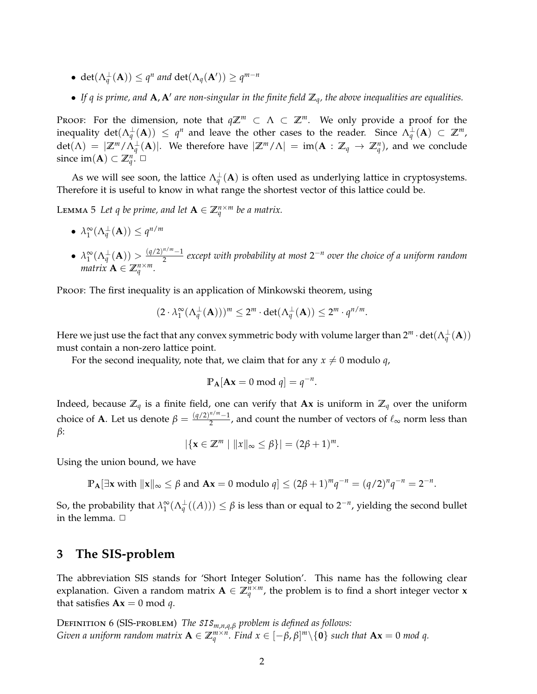- det $(\Lambda_q^{\perp}(\mathbf{A})) \le q^n$  and det $(\Lambda_q(\mathbf{A}')) \ge q^{m-n}$
- If  $q$  is prime, and  $A$ ,  $A'$  are non-singular in the finite field  $\mathbb{Z}_q$ , the above inequalities are equalities.

Proof: For the dimension, note that  $q\mathbb{Z}^m \subset \Lambda \subset \mathbb{Z}^m$ . We only provide a proof for the inequality  $det(\Lambda_q^{\perp}(\mathbf{A})) \leq q^n$  and leave the other cases to the reader. Since  $\Lambda_q^{\perp}(\mathbf{A}) \subset \mathbb{Z}^m$ ,  $det(\Lambda) = |\mathbb{Z}^m / \Lambda_q^{\perp}(\mathbf{A})|$ . We therefore have  $|\mathbb{Z}^m / \Lambda| = im(\mathbf{A} : \mathbb{Z}_q \to \mathbb{Z}_q^n)$ , and we conclude since  $\text{im}(\mathbf{A}) \subset \mathbb{Z}_q^n$ .  $\Box$ 

As we will see soon, the lattice  $\Lambda_q^{\perp}({\bf A})$  is often used as underlying lattice in cryptosystems. Therefore it is useful to know in what range the shortest vector of this lattice could be.

Lemma 5 Let q be prime, and let  $A \in \mathbb{Z}_q^{n \times m}$  be a matrix.

- $\lambda_1^{\infty}(\Lambda_q^{\perp}(\mathbf{A})) \leq q^{n/m}$
- $\bullet$   $\lambda_1^{\infty}(\Lambda_q^{\perp}(\mathbf{A})) > \frac{(q/2)^{n/m}-1}{2}$  $\frac{n}{2}$  except with probability at most 2<sup>−n</sup> over the choice of a uniform random *matrix*  $\mathbf{A} \in \mathbb{Z}_q^{n \times m}$ *.*

Proof: The first inequality is an application of Minkowski theorem, using

$$
(2 \cdot \lambda_1^{\infty}(\Lambda_q^{\perp}(\mathbf{A})))^m \le 2^m \cdot \det(\Lambda_q^{\perp}(\mathbf{A})) \le 2^m \cdot q^{n/m}.
$$

Here we just use the fact that any convex symmetric body with volume larger than  $2^m\cdot\det(\Lambda_q^\perp(\mathbf{A}))$ must contain a non-zero lattice point.

For the second inequality, note that, we claim that for any  $x \neq 0$  modulo *q*,

<span id="page-1-0"></span>
$$
\mathbb{P}_{\mathbf{A}}[\mathbf{A}\mathbf{x} = 0 \bmod q] = q^{-n}.
$$

Indeed, because  $\mathbb{Z}_q$  is a finite field, one can verify that **Ax** is uniform in  $\mathbb{Z}_q$  over the uniform choice of **A**. Let us denote  $\beta = \frac{(q/2)^{n/m}-1}{2}$  $\frac{2^{n+1}-1}{2}$ , and count the number of vectors of  $\ell_{\infty}$  norm less than *β*:

 $|\{x \in \mathbb{Z}^m \mid ||x||_{\infty} \leq \beta\}| = (2\beta + 1)^m.$ 

Using the union bound, we have

**P**<sub>A</sub>[∃**x** with  $||x||_{∞} ≤ β$  and  $Ax = 0$  modulo  $q$ ] ≤  $(2β + 1)^{m}q^{-n} = (q/2)^{n}q^{-n} = 2^{-n}$ .

So, the probability that  $\lambda_1^{\infty}(\Lambda_q^{\perp}((A))) \leq \beta$  is less than or equal to 2<sup>-*n*</sup>, yielding the second bullet in the lemma.  $\Box$ 

## **3 The SIS-problem**

The abbreviation SIS stands for 'Short Integer Solution'. This name has the following clear explanation. Given a random matrix  $A \in \mathbb{Z}_q^{n \times m}$ , the problem is to find a short integer vector **x** that satisfies  $Ax = 0 \text{ mod } q$ .

<sup>D</sup>efinition 6 (SIS-problem) *The* SIS*m*,*n*,*q*,*<sup>β</sup> problem is defined as follows: Given a uniform random matrix*  $\mathbf{A} \in \mathbb{Z}_q^{m \times n}$ . Find  $x \in [-\beta, \beta]^m \setminus \{0\}$  such that  $\mathbf{A} \mathbf{x} = 0$  mod q.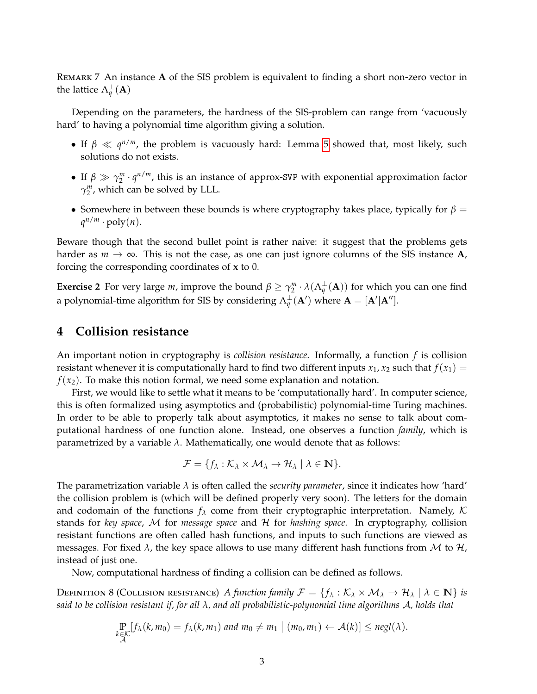Remark 7 An instance **A** of the SIS problem is equivalent to finding a short non-zero vector in the lattice  $\Lambda_q^{\perp}(\mathbf{A})$ 

Depending on the parameters, the hardness of the SIS-problem can range from 'vacuously hard' to having a polynomial time algorithm giving a solution.

- If  $\beta \ll q^{n/m}$ , the problem is vacuously hard: Lemma [5](#page-1-0) showed that, most likely, such solutions do not exists.
- If  $\beta \gg \gamma_2^m \cdot q^{n/m}$ , this is an instance of approx-SVP with exponential approximation factor  $\gamma_2^m$ , which can be solved by LLL.
- Somewhere in between these bounds is where cryptography takes place, typically for  $\beta$  =  $q^{n/m} \cdot \text{poly}(n)$ .

Beware though that the second bullet point is rather naive: it suggest that the problems gets harder as  $m \to \infty$ . This is not the case, as one can just ignore columns of the SIS instance **A**, forcing the corresponding coordinates of **x** to 0.

**Exercise 2** For very large *m*, improve the bound  $\beta \ge \gamma_2^m \cdot \lambda(\Lambda_q^{\perp}(A))$  for which you can one find a polynomial-time algorithm for SIS by considering  $\Lambda_q^{\perp}(\mathbf{A}')$  where  $\mathbf{A} = [\mathbf{A}'|\mathbf{A}'']$ .

#### **4 Collision resistance**

An important notion in cryptography is *collision resistance*. Informally, a function *f* is collision resistant whenever it is computationally hard to find two different inputs  $x_1$ ,  $x_2$  such that  $f(x_1)$  =  $f(x_2)$ . To make this notion formal, we need some explanation and notation.

First, we would like to settle what it means to be 'computationally hard'. In computer science, this is often formalized using asymptotics and (probabilistic) polynomial-time Turing machines. In order to be able to properly talk about asymptotics, it makes no sense to talk about computational hardness of one function alone. Instead, one observes a function *family*, which is parametrized by a variable *λ*. Mathematically, one would denote that as follows:

$$
\mathcal{F} = \{f_{\lambda} : \mathcal{K}_{\lambda} \times \mathcal{M}_{\lambda} \to \mathcal{H}_{\lambda} \mid \lambda \in \mathbb{N}\}.
$$

The parametrization variable  $\lambda$  is often called the *security parameter*, since it indicates how 'hard' the collision problem is (which will be defined properly very soon). The letters for the domain and codomain of the functions *f<sup>λ</sup>* come from their cryptographic interpretation. Namely, K stands for *key space*, M for *message space* and H for *hashing space*. In cryptography, collision resistant functions are often called hash functions, and inputs to such functions are viewed as messages. For fixed  $\lambda$ , the key space allows to use many different hash functions from M to  $\mathcal{H}$ , instead of just one.

Now, computational hardness of finding a collision can be defined as follows.

DEFINITION 8 (COLLISION RESISTANCE) *A function family*  $\mathcal{F} = \{f_\lambda : \mathcal{K}_\lambda \times \mathcal{M}_\lambda \to \mathcal{H}_\lambda \mid \lambda \in \mathbb{N} \}$  *is said to be collision resistant if, for all λ, and all probabilistic-polynomial time algorithms* A*, holds that*

$$
\Pr_{\substack{k \in \mathcal{K} \\ \mathcal{A}}} [f_{\lambda}(k, m_0) = f_{\lambda}(k, m_1) \text{ and } m_0 \neq m_1 \mid (m_0, m_1) \leftarrow \mathcal{A}(k)] \leq negl(\lambda).
$$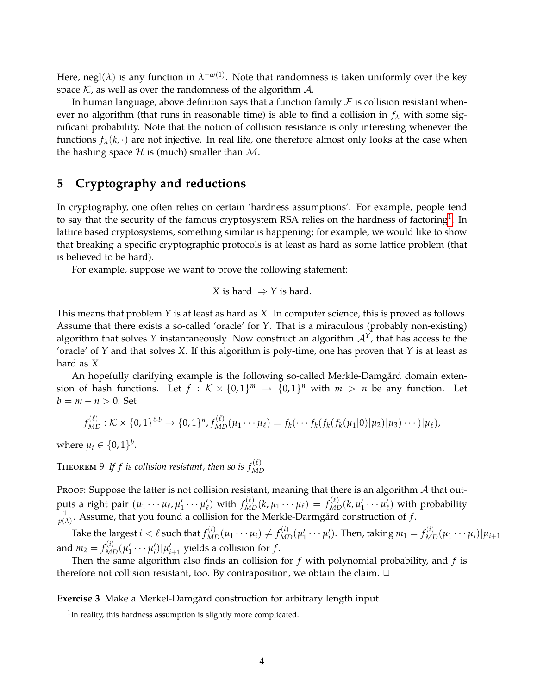Here, negl $(\lambda)$  is any function in  $\lambda^{-\omega(1)}$ . Note that randomness is taken uniformly over the key space  $K$ , as well as over the randomness of the algorithm  $A$ .

In human language, above definition says that a function family  $\mathcal F$  is collision resistant whenever no algorithm (that runs in reasonable time) is able to find a collision in  $f_\lambda$  with some significant probability. Note that the notion of collision resistance is only interesting whenever the functions  $f_{\lambda}(k, \cdot)$  are not injective. In real life, one therefore almost only looks at the case when the hashing space  $\mathcal H$  is (much) smaller than  $\mathcal M$ .

## **5 Cryptography and reductions**

In cryptography, one often relies on certain 'hardness assumptions'. For example, people tend to say that the security of the famous cryptosystem RSA relies on the hardness of factoring<sup>[1](#page-3-0)</sup>. In lattice based cryptosystems, something similar is happening; for example, we would like to show that breaking a specific cryptographic protocols is at least as hard as some lattice problem (that is believed to be hard).

For example, suppose we want to prove the following statement:

$$
X
$$
 is hard  $\Rightarrow Y$  is hard.

This means that problem *Y* is at least as hard as *X*. In computer science, this is proved as follows. Assume that there exists a so-called 'oracle' for *Y*. That is a miraculous (probably non-existing) algorithm that solves *Y* instantaneously. Now construct an algorithm  $A<sup>Y</sup>$ , that has access to the 'oracle' of *Y* and that solves *X*. If this algorithm is poly-time, one has proven that *Y* is at least as hard as *X*.

An hopefully clarifying example is the following so-called Merkle-Damgård domain extension of hash functions. Let  $f : K \times \{0,1\}^m \rightarrow \{0,1\}^n$  with  $m > n$  be any function. Let  $b = m - n > 0$ . Set

$$
f_{MD}^{(\ell)} : \mathcal{K} \times \{0,1\}^{\ell \cdot b} \to \{0,1\}^n, f_{MD}^{(\ell)}(\mu_1 \cdots \mu_\ell) = f_k(\cdots f_k(f_k(f_k(\mu_1|0)|\mu_2)|\mu_3) \cdots )|\mu_\ell),
$$

where  $\mu_i \in \{0,1\}^b$ .

**THEOREM 9** If f is collision resistant, then so is  $f_{MD}^{(\ell)}$ 

Proof: Suppose the latter is not collision resistant, meaning that there is an algorithm  $A$  that outputs a right pair  $(\mu_1 \cdots \mu_\ell, \mu_1' \cdots \mu_\ell')$  with  $f_{MD}^{(\ell)}(k,\mu_1 \cdots \mu_\ell) = f_{MD}^{(\ell)}(k,\mu_1' \cdots \mu_\ell')$  with probability  $\frac{1}{p(\lambda)}$ . Assume, that you found a collision for the Merkle-Darmgård construction of  $f$ .

Take the largest  $i<\ell$  such that  $f_{MD}^{(i)}(\mu_1\cdots\mu_i)\neq f_{MD}^{(i)}(\mu'_1\cdots\mu'_i)$ . Then, taking  $m_1=f_{MD}^{(i)}(\mu_1\cdots\mu_i)|\mu_{i+1}$ and  $m_2 = f_{MD}^{(i)}(\mu'_1 \cdots \mu'_i) | \mu'_{i+1}$  yields a collision for  $f$ .

Then the same algorithm also finds an collision for *f* with polynomial probability, and *f* is therefore not collision resistant, too. By contraposition, we obtain the claim.  $\Box$ 

**Exercise 3** Make a Merkel-Damgård construction for arbitrary length input.

<span id="page-3-0"></span> $1$ In reality, this hardness assumption is slightly more complicated.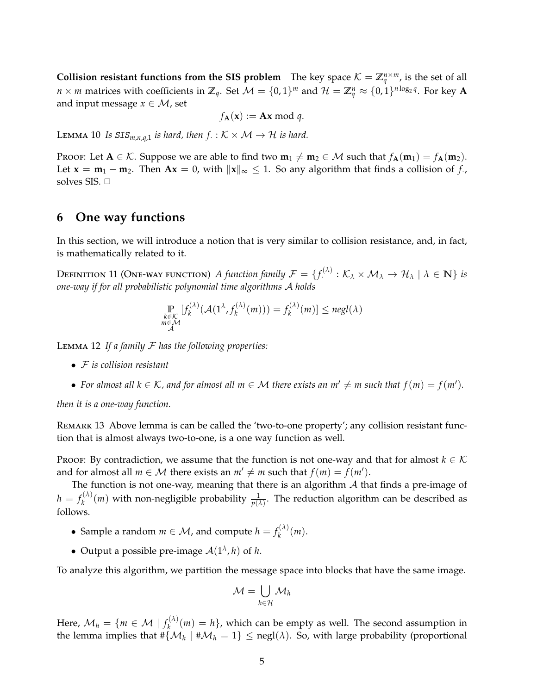**Collision resistant functions from the SIS problem** The key space  $K = \mathbb{Z}_q^{n \times m}$ , is the set of all  $n \times m$  matrices with coefficients in  $\mathbb{Z}_q$ . Set  $\mathcal{M} = \{0,1\}^m$  and  $\mathcal{H} = \mathbb{Z}_q^n \approx \{0,1\}^{n \log_2 q}$ . For key  $\mathbf{A}$ and input message  $x \in \mathcal{M}$ , set

$$
f_{\mathbf{A}}(\mathbf{x}) := \mathbf{A}\mathbf{x} \bmod q.
$$

LEMMA 10 *Is*  $SIS_{m,n,q,1}$  *is hard, then*  $f: K \times M \rightarrow H$  *is hard.* 

Proof: Let  $A \in \mathcal{K}$ . Suppose we are able to find two  $m_1 \neq m_2 \in \mathcal{M}$  such that  $f_A(m_1) = f_A(m_2)$ . Let  $\mathbf{x} = \mathbf{m}_1 - \mathbf{m}_2$ . Then  $\mathbf{A}\mathbf{x} = 0$ , with  $\|\mathbf{x}\|_{\infty} \leq 1$ . So any algorithm that finds a collision of *f*., solves SIS.  $\Box$ 

#### **6 One way functions**

In this section, we will introduce a notion that is very similar to collision resistance, and, in fact, is mathematically related to it.

DEFINITION 11 (ONE-WAY FUNCTION) A function family  $\mathcal{F} = \{f^{(\lambda)}_+ : \mathcal{K}_\lambda \times \mathcal{M}_\lambda \to \mathcal{H}_\lambda \mid \lambda \in \mathbb{N}\}$  is *one-way if for all probabilistic polynomial time algorithms* A *holds*

$$
\mathop{\mathbb{P}}_{\substack{k \in \mathcal{K} \\ m \in \mathcal{M}}} [f_k^{(\lambda)}(\mathcal{A}(1^{\lambda}, f_k^{(\lambda)}(m))) = f_k^{(\lambda)}(m)] \le negl(\lambda)
$$

Lemma 12 *If a family* F *has the following properties:*

- F *is collision resistant*
- For almost all  $k \in \mathcal{K}$ , and for almost all  $m \in \mathcal{M}$  there exists an  $m' \neq m$  such that  $f(m) = f(m')$ .

*then it is a one-way function.*

Remark 13 Above lemma is can be called the 'two-to-one property'; any collision resistant function that is almost always two-to-one, is a one way function as well.

Proof: By contradiction, we assume that the function is not one-way and that for almost  $k \in \mathcal{K}$ and for almost all  $m \in \mathcal{M}$  there exists an  $m' \neq m$  such that  $f(m) = f(m')$ .

The function is not one-way, meaning that there is an algorithm  $A$  that finds a pre-image of  $h = f_k^{(\lambda)}$  $h_k^{(A)}(m)$  with non-negligible probability  $\frac{1}{p(\lambda)}$ . The reduction algorithm can be described as follows.

- Sample a random  $m \in \mathcal{M}$ , and compute  $h = f_k^{(\lambda)}$  $\binom{(\Lambda)}{k}(m)$ .
- Output a possible pre-image  $A(1^{\lambda}, h)$  of *h*.

To analyze this algorithm, we partition the message space into blocks that have the same image.

$$
\mathcal{M}=\bigcup_{h\in\mathcal{H}}\mathcal{M}_h
$$

Here,  $\mathcal{M}_h = \{ m \in \mathcal{M} \mid f_k^{(\lambda)} \}$  $h_k^{(A)}(m) = h$ , which can be empty as well. The second assumption in the lemma implies that  $\#\{\mathcal{M}_h\;|\;\#\mathcal{M}_h=1\}\leq \mathsf{negl}(\lambda).$  So, with large probability (proportional